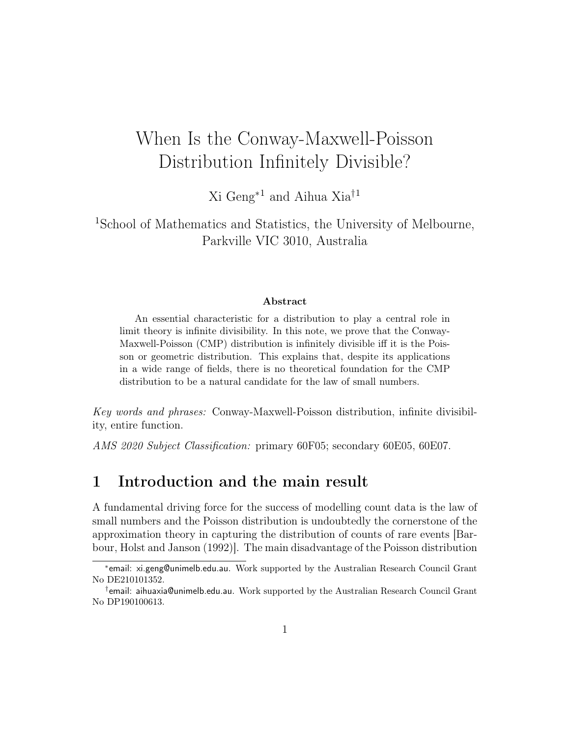# When Is the Conway-Maxwell-Poisson Distribution Infinitely Divisible?

Xi Geng<sup>∗</sup><sup>1</sup> and Aihua Xia†<sup>1</sup>

<sup>1</sup>School of Mathematics and Statistics, the University of Melbourne, Parkville VIC 3010, Australia

#### Abstract

An essential characteristic for a distribution to play a central role in limit theory is infinite divisibility. In this note, we prove that the Conway-Maxwell-Poisson (CMP) distribution is infinitely divisible iff it is the Poisson or geometric distribution. This explains that, despite its applications in a wide range of fields, there is no theoretical foundation for the CMP distribution to be a natural candidate for the law of small numbers.

Key words and phrases: Conway-Maxwell-Poisson distribution, infinite divisibility, entire function.

AMS 2020 Subject Classification: primary 60F05; secondary 60E05, 60E07.

### 1 Introduction and the main result

A fundamental driving force for the success of modelling count data is the law of small numbers and the Poisson distribution is undoubtedly the cornerstone of the approximation theory in capturing the distribution of counts of rare events [Barbour, Holst and Janson (1992)]. The main disadvantage of the Poisson distribution

<sup>∗</sup> email: xi.geng@unimelb.edu.au. Work supported by the Australian Research Council Grant No DE210101352.

<sup>†</sup> email: aihuaxia@unimelb.edu.au. Work supported by the Australian Research Council Grant No DP190100613.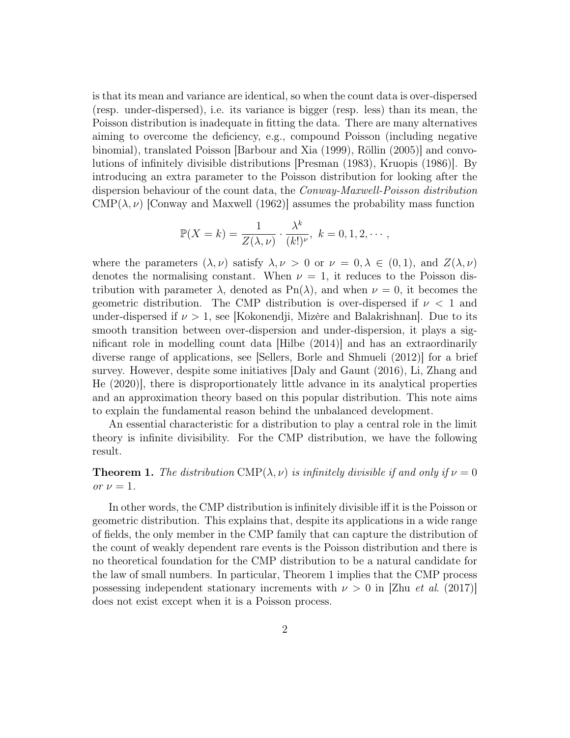is that its mean and variance are identical, so when the count data is over-dispersed (resp. under-dispersed), i.e. its variance is bigger (resp. less) than its mean, the Poisson distribution is inadequate in fitting the data. There are many alternatives aiming to overcome the deficiency, e.g., compound Poisson (including negative binomial), translated Poisson [Barbour and Xia (1999), Röllin (2005)] and convolutions of infinitely divisible distributions [Presman (1983), Kruopis (1986)]. By introducing an extra parameter to the Poisson distribution for looking after the dispersion behaviour of the count data, the Conway-Maxwell-Poisson distribution CMP( $\lambda, \nu$ ) [Conway and Maxwell (1962)] assumes the probability mass function

$$
\mathbb{P}(X = k) = \frac{1}{Z(\lambda, \nu)} \cdot \frac{\lambda^k}{(k!)^{\nu}}, \ k = 0, 1, 2, \cdots,
$$

where the parameters  $(\lambda, \nu)$  satisfy  $\lambda, \nu > 0$  or  $\nu = 0, \lambda \in (0, 1)$ , and  $Z(\lambda, \nu)$ denotes the normalising constant. When  $\nu = 1$ , it reduces to the Poisson distribution with parameter  $\lambda$ , denoted as Pn( $\lambda$ ), and when  $\nu = 0$ , it becomes the geometric distribution. The CMP distribution is over-dispersed if  $\nu < 1$  and under-dispersed if  $\nu > 1$ , see [Kokonendji, Mizère and Balakrishnan]. Due to its smooth transition between over-dispersion and under-dispersion, it plays a significant role in modelling count data [Hilbe (2014)] and has an extraordinarily diverse range of applications, see [Sellers, Borle and Shmueli (2012)] for a brief survey. However, despite some initiatives [Daly and Gaunt (2016), Li, Zhang and He (2020)], there is disproportionately little advance in its analytical properties and an approximation theory based on this popular distribution. This note aims to explain the fundamental reason behind the unbalanced development.

An essential characteristic for a distribution to play a central role in the limit theory is infinite divisibility. For the CMP distribution, we have the following result.

**Theorem 1.** The distribution CMP( $\lambda, \nu$ ) is infinitely divisible if and only if  $\nu = 0$ or  $\nu = 1$ .

In other words, the CMP distribution is infinitely divisible iff it is the Poisson or geometric distribution. This explains that, despite its applications in a wide range of fields, the only member in the CMP family that can capture the distribution of the count of weakly dependent rare events is the Poisson distribution and there is no theoretical foundation for the CMP distribution to be a natural candidate for the law of small numbers. In particular, Theorem 1 implies that the CMP process possessing independent stationary increments with  $\nu > 0$  in [Zhu *et al.* (2017)] does not exist except when it is a Poisson process.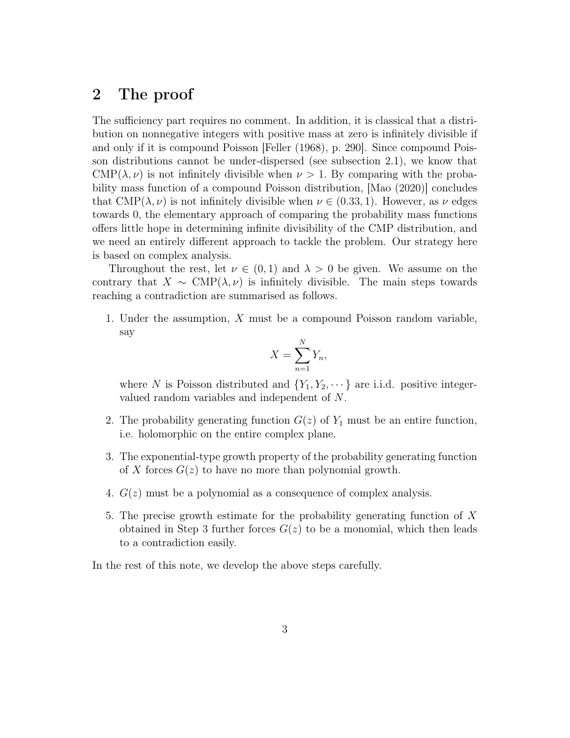# 2 The proof

The sufficiency part requires no comment. In addition, it is classical that a distribution on nonnegative integers with positive mass at zero is infinitely divisible if and only if it is compound Poisson [Feller (1968), p. 290]. Since compound Poisson distributions cannot be under-dispersed (see subsection 2.1), we know that CMP( $\lambda, \nu$ ) is not infinitely divisible when  $\nu > 1$ . By comparing with the probability mass function of a compound Poisson distribution, [Mao (2020)] concludes that  $\text{CMP}(\lambda, \nu)$  is not infinitely divisible when  $\nu \in (0.33, 1)$ . However, as  $\nu$  edges towards 0, the elementary approach of comparing the probability mass functions offers little hope in determining infinite divisibility of the CMP distribution, and we need an entirely different approach to tackle the problem. Our strategy here is based on complex analysis.

Throughout the rest, let  $\nu \in (0,1)$  and  $\lambda > 0$  be given. We assume on the contrary that  $X \sim \text{CMP}(\lambda, \nu)$  is infinitely divisible. The main steps towards reaching a contradiction are summarised as follows.

1. Under the assumption, X must be a compound Poisson random variable, say

$$
X = \sum_{n=1}^{N} Y_n,
$$

where N is Poisson distributed and  ${Y_1, Y_2, \dots}$  are i.i.d. positive integervalued random variables and independent of N.

- 2. The probability generating function  $G(z)$  of  $Y_1$  must be an entire function, i.e. holomorphic on the entire complex plane.
- 3. The exponential-type growth property of the probability generating function of X forces  $G(z)$  to have no more than polynomial growth.
- 4.  $G(z)$  must be a polynomial as a consequence of complex analysis.
- 5. The precise growth estimate for the probability generating function of X obtained in Step 3 further forces  $G(z)$  to be a monomial, which then leads to a contradiction easily.

In the rest of this note, we develop the above steps carefully.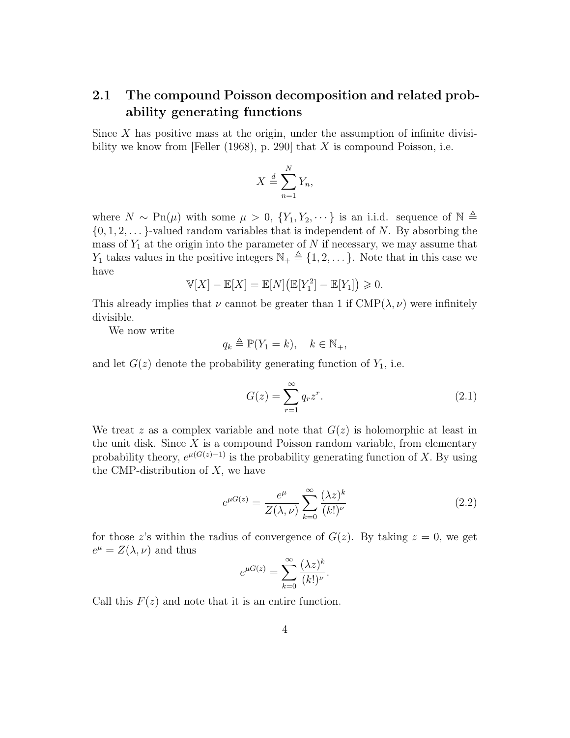# 2.1 The compound Poisson decomposition and related probability generating functions

Since  $X$  has positive mass at the origin, under the assumption of infinite divisibility we know from [Feller (1968), p. 290] that  $X$  is compound Poisson, i.e.

$$
X \stackrel{d}{=} \sum_{n=1}^{N} Y_n,
$$

where  $N \sim \text{Pn}(\mu)$  with some  $\mu > 0$ ,  $\{Y_1, Y_2, \dots\}$  is an i.i.d. sequence of  $\mathbb{N} \triangleq$  $\{0, 1, 2, \ldots\}$ -valued random variables that is independent of N. By absorbing the mass of  $Y_1$  at the origin into the parameter of N if necessary, we may assume that  $Y_1$  takes values in the positive integers  $\mathbb{N}_+ \triangleq \{1, 2, \dots\}$ . Note that in this case we have

$$
\mathbb{V}[X] - \mathbb{E}[X] = \mathbb{E}[N] (\mathbb{E}[Y_1^2] - \mathbb{E}[Y_1]) \geq 0.
$$

This already implies that  $\nu$  cannot be greater than 1 if  $\text{CMP}(\lambda, \nu)$  were infinitely divisible.

We now write

$$
q_k \triangleq \mathbb{P}(Y_1 = k), \quad k \in \mathbb{N}_+,
$$

and let  $G(z)$  denote the probability generating function of  $Y_1$ , i.e.

$$
G(z) = \sum_{r=1}^{\infty} q_r z^r.
$$
\n(2.1)

We treat z as a complex variable and note that  $G(z)$  is holomorphic at least in the unit disk. Since  $X$  is a compound Poisson random variable, from elementary probability theory,  $e^{\mu(G(z)-1)}$  is the probability generating function of X. By using the CMP-distribution of  $X$ , we have

$$
e^{\mu G(z)} = \frac{e^{\mu}}{Z(\lambda, \nu)} \sum_{k=0}^{\infty} \frac{(\lambda z)^k}{(k!)^{\nu}}
$$
\n(2.2)

for those z's within the radius of convergence of  $G(z)$ . By taking  $z = 0$ , we get  $e^{\mu} = Z(\lambda, \nu)$  and thus

$$
e^{\mu G(z)} = \sum_{k=0}^{\infty} \frac{(\lambda z)^k}{(k!)^{\nu}}.
$$

Call this  $F(z)$  and note that it is an entire function.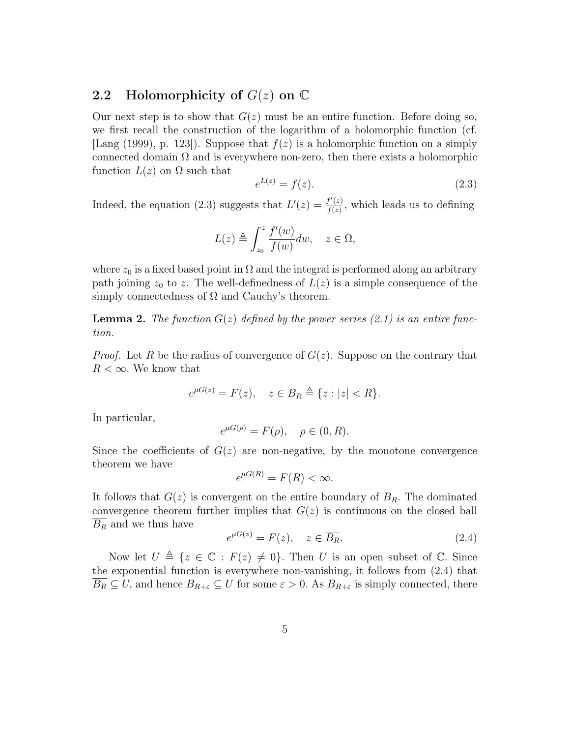# 2.2 Holomorphicity of  $G(z)$  on  $\mathbb C$

Our next step is to show that  $G(z)$  must be an entire function. Before doing so, we first recall the construction of the logarithm of a holomorphic function (cf. [Lang (1999), p. 123]). Suppose that  $f(z)$  is a holomorphic function on a simply connected domain  $\Omega$  and is everywhere non-zero, then there exists a holomorphic function  $L(z)$  on  $\Omega$  such that

$$
e^{L(z)} = f(z). \t\t(2.3)
$$

Indeed, the equation (2.3) suggests that  $L'(z) = \frac{f'(z)}{f(z)}$  $\frac{f'(z)}{f(z)}$ , which leads us to defining

$$
L(z) \triangleq \int_{z_0}^{z} \frac{f'(w)}{f(w)} dw, \quad z \in \Omega,
$$

where  $z_0$  is a fixed based point in  $\Omega$  and the integral is performed along an arbitrary path joining  $z_0$  to z. The well-definedness of  $L(z)$  is a simple consequence of the simply connectedness of  $\Omega$  and Cauchy's theorem.

**Lemma 2.** The function  $G(z)$  defined by the power series (2.1) is an entire function.

*Proof.* Let R be the radius of convergence of  $G(z)$ . Suppose on the contrary that  $R < \infty$ . We know that

$$
e^{\mu G(z)} = F(z), \quad z \in B_R \triangleq \{z : |z| < R\}.
$$

In particular,

$$
e^{\mu G(\rho)} = F(\rho), \quad \rho \in (0, R).
$$

Since the coefficients of  $G(z)$  are non-negative, by the monotone convergence theorem we have

$$
e^{\mu G(R)} = F(R) < \infty.
$$

It follows that  $G(z)$  is convergent on the entire boundary of  $B<sub>R</sub>$ . The dominated convergence theorem further implies that  $G(z)$  is continuous on the closed ball  $B_R$  and we thus have

$$
e^{\mu G(z)} = F(z), \quad z \in \overline{B_R}.
$$
\n(2.4)

Now let  $U \triangleq \{z \in \mathbb{C} : F(z) \neq 0\}$ . Then U is an open subset of C. Since the exponential function is everywhere non-vanishing, it follows from (2.4) that  $\overline{B_R} \subseteq U$ , and hence  $B_{R+\varepsilon} \subseteq U$  for some  $\varepsilon > 0$ . As  $B_{R+\varepsilon}$  is simply connected, there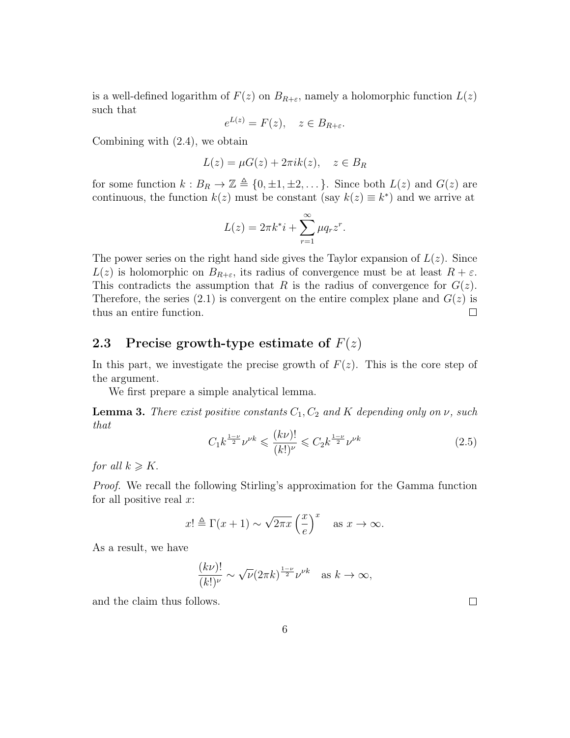is a well-defined logarithm of  $F(z)$  on  $B_{R+\varepsilon}$ , namely a holomorphic function  $L(z)$ such that

$$
e^{L(z)} = F(z), \quad z \in B_{R+\varepsilon}.
$$

Combining with (2.4), we obtain

$$
L(z) = \mu G(z) + 2\pi i k(z), \quad z \in B_R
$$

for some function  $k : B_R \to \mathbb{Z} \triangleq \{0, \pm 1, \pm 2, \dots\}$ . Since both  $L(z)$  and  $G(z)$  are continuous, the function  $k(z)$  must be constant (say  $k(z) \equiv k^*$ ) and we arrive at

$$
L(z) = 2\pi k^* i + \sum_{r=1}^{\infty} \mu q_r z^r.
$$

The power series on the right hand side gives the Taylor expansion of  $L(z)$ . Since  $L(z)$  is holomorphic on  $B_{R+\varepsilon}$ , its radius of convergence must be at least  $R+\varepsilon$ . This contradicts the assumption that R is the radius of convergence for  $G(z)$ . Therefore, the series (2.1) is convergent on the entire complex plane and  $G(z)$  is thus an entire function.  $\Box$ 

### 2.3 Precise growth-type estimate of  $F(z)$

In this part, we investigate the precise growth of  $F(z)$ . This is the core step of the argument.

We first prepare a simple analytical lemma.

**Lemma 3.** There exist positive constants  $C_1$ ,  $C_2$  and K depending only on  $\nu$ , such that

$$
C_1 k^{\frac{1-\nu}{2}} \nu^{\nu k} \leqslant \frac{(k\nu)!}{(k!)^{\nu}} \leqslant C_2 k^{\frac{1-\nu}{2}} \nu^{\nu k} \tag{2.5}
$$

for all  $k \geqslant K$ .

Proof. We recall the following Stirling's approximation for the Gamma function for all positive real  $x$ :

$$
x! \triangleq \Gamma(x+1) \sim \sqrt{2\pi x} \left(\frac{x}{e}\right)^x
$$
 as  $x \to \infty$ .

As a result, we have

$$
\frac{(k\nu)!}{(k!)^{\nu}} \sim \sqrt{\nu} (2\pi k)^{\frac{1-\nu}{2}} {\nu}^{\nu k} \quad \text{as } k \to \infty,
$$

and the claim thus follows.

 $\Box$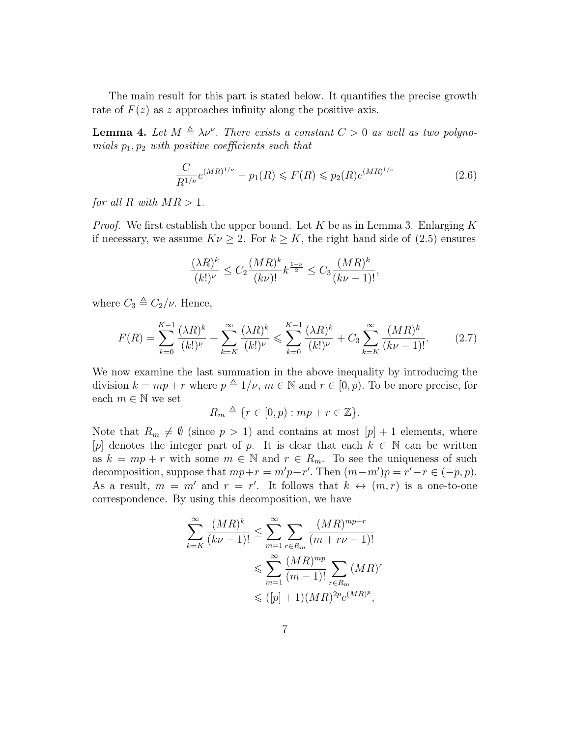The main result for this part is stated below. It quantifies the precise growth rate of  $F(z)$  as z approaches infinity along the positive axis.

**Lemma 4.** Let  $M \triangleq \lambda \nu^{\nu}$ . There exists a constant  $C > 0$  as well as two polynomials  $p_1, p_2$  with positive coefficients such that

$$
\frac{C}{R^{1/\nu}}e^{(MR)^{1/\nu}} - p_1(R) \leqslant F(R) \leqslant p_2(R)e^{(MR)^{1/\nu}}\tag{2.6}
$$

for all R with  $MR > 1$ .

*Proof.* We first establish the upper bound. Let K be as in Lemma 3. Enlarging K if necessary, we assume  $K\nu \geq 2$ . For  $k \geq K$ , the right hand side of (2.5) ensures

$$
\frac{(\lambda R)^k}{(k!)^\nu} \le C_2 \frac{(MR)^k}{(k\nu)!} k^{\frac{1-\nu}{2}} \le C_3 \frac{(MR)^k}{(k\nu-1)!},
$$

where  $C_3 \triangleq C_2/\nu$ . Hence,

$$
F(R) = \sum_{k=0}^{K-1} \frac{(\lambda R)^k}{(k!)^{\nu}} + \sum_{k=K}^{\infty} \frac{(\lambda R)^k}{(k!)^{\nu}} \le \sum_{k=0}^{K-1} \frac{(\lambda R)^k}{(k!)^{\nu}} + C_3 \sum_{k=K}^{\infty} \frac{(MR)^k}{(k\nu - 1)!}.
$$
 (2.7)

We now examine the last summation in the above inequality by introducing the division  $k = mp + r$  where  $p \triangleq 1/\nu$ ,  $m \in \mathbb{N}$  and  $r \in [0, p)$ . To be more precise, for each  $m \in \mathbb{N}$  we set

$$
R_m \triangleq \{ r \in [0, p) : mp + r \in \mathbb{Z} \}.
$$

Note that  $R_m \neq \emptyset$  (since  $p > 1$ ) and contains at most  $[p] + 1$  elements, where [p] denotes the integer part of p. It is clear that each  $k \in \mathbb{N}$  can be written as  $k = mp + r$  with some  $m \in \mathbb{N}$  and  $r \in R_m$ . To see the uniqueness of such decomposition, suppose that  $mp+r = m'p+r'$ . Then  $(m-m')p = r'-r \in (-p, p)$ . As a result,  $m = m'$  and  $r = r'$ . It follows that  $k \leftrightarrow (m, r)$  is a one-to-one correspondence. By using this decomposition, we have

$$
\sum_{k=K}^{\infty} \frac{(MR)^k}{(k\nu - 1)!} \le \sum_{m=1}^{\infty} \sum_{r \in R_m} \frac{(MR)^{mp+r}}{(m + r\nu - 1)!} \n\le \sum_{m=1}^{\infty} \frac{(MR)^{mp}}{(m-1)!} \sum_{r \in R_m} (MR)^r \n\le ([p] + 1)(MR)^{2p} e^{(MR)^p},
$$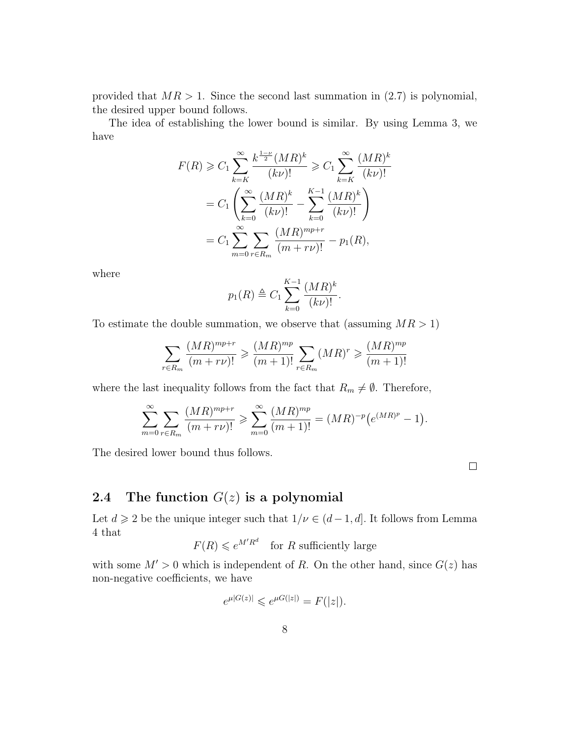provided that  $MR > 1$ . Since the second last summation in  $(2.7)$  is polynomial, the desired upper bound follows.

The idea of establishing the lower bound is similar. By using Lemma 3, we have

$$
F(R) \geq C_1 \sum_{k=K}^{\infty} \frac{k^{\frac{1-\nu}{2}} (MR)^k}{(k\nu)!} \geq C_1 \sum_{k=K}^{\infty} \frac{(MR)^k}{(k\nu)!}
$$
  
=  $C_1 \left( \sum_{k=0}^{\infty} \frac{(MR)^k}{(k\nu)!} - \sum_{k=0}^{K-1} \frac{(MR)^k}{(k\nu)!} \right)$   
=  $C_1 \sum_{m=0}^{\infty} \sum_{r \in R_m} \frac{(MR)^{mp+r}}{(m+r\nu)!} - p_1(R),$ 

where

$$
p_1(R) \triangleq C_1 \sum_{k=0}^{K-1} \frac{(MR)^k}{(k\nu)!}.
$$

To estimate the double summation, we observe that (assuming  $MR > 1$ )

$$
\sum_{r \in R_m} \frac{(MR)^{mp+r}}{(m+r\nu)!} \ge \frac{(MR)^{mp}}{(m+1)!} \sum_{r \in R_m} (MR)^r \ge \frac{(MR)^{mp}}{(m+1)!}
$$

where the last inequality follows from the fact that  $R_m \neq \emptyset$ . Therefore,

$$
\sum_{m=0}^{\infty} \sum_{r \in R_m} \frac{(MR)^{mp+r}}{(m+r\nu)!} \ge \sum_{m=0}^{\infty} \frac{(MR)^{mp}}{(m+1)!} = (MR)^{-p} \left(e^{(MR)^p} - 1\right).
$$

The desired lower bound thus follows.

### 2.4 The function  $G(z)$  is a polynomial

Let  $d \geq 2$  be the unique integer such that  $1/\nu \in (d-1, d]$ . It follows from Lemma 4 that

 $F(R) \leq e^{M'R^d}$  for R sufficiently large

with some  $M' > 0$  which is independent of R. On the other hand, since  $G(z)$  has non-negative coefficients, we have

$$
e^{\mu|G(z)|} \le e^{\mu G(|z|)} = F(|z|).
$$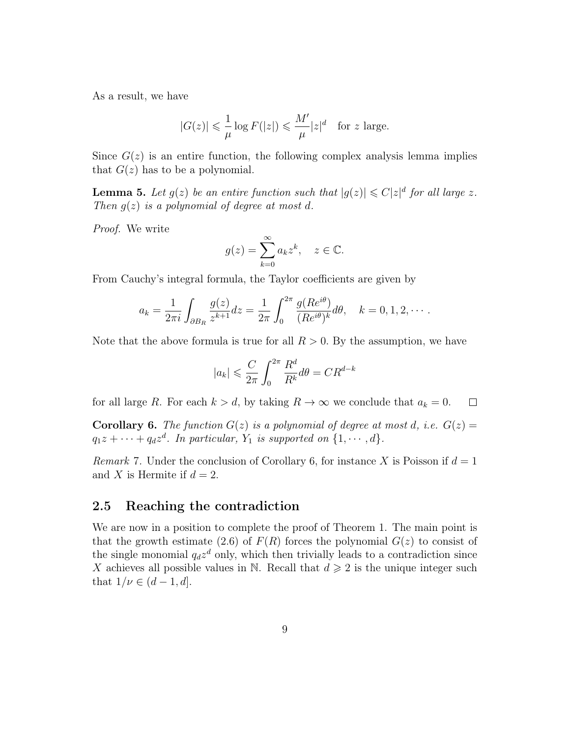As a result, we have

$$
|G(z)| \leqslant \frac{1}{\mu} \log F(|z|) \leqslant \frac{M'}{\mu} |z|^d \quad \text{for } z \text{ large.}
$$

Since  $G(z)$  is an entire function, the following complex analysis lemma implies that  $G(z)$  has to be a polynomial.

**Lemma 5.** Let  $g(z)$  be an entire function such that  $|g(z)| \leq C |z|^d$  for all large z. Then  $g(z)$  is a polynomial of degree at most d.

Proof. We write

$$
g(z) = \sum_{k=0}^{\infty} a_k z^k, \quad z \in \mathbb{C}.
$$

From Cauchy's integral formula, the Taylor coefficients are given by

$$
a_k = \frac{1}{2\pi i} \int_{\partial B_R} \frac{g(z)}{z^{k+1}} dz = \frac{1}{2\pi} \int_0^{2\pi} \frac{g(Re^{i\theta})}{(Re^{i\theta})^k} d\theta, \quad k = 0, 1, 2, \cdots.
$$

Note that the above formula is true for all  $R > 0$ . By the assumption, we have

$$
|a_k| \leqslant \frac{C}{2\pi} \int_0^{2\pi} \frac{R^d}{R^k} d\theta = C R^{d-k}
$$

for all large R. For each  $k > d$ , by taking  $R \to \infty$  we conclude that  $a_k = 0$ .  $\Box$ 

**Corollary 6.** The function  $G(z)$  is a polynomial of degree at most d, i.e.  $G(z)$  $q_1z + \cdots + q_dz^d$ . In particular,  $Y_1$  is supported on  $\{1, \dots, d\}$ .

Remark 7. Under the conclusion of Corollary 6, for instance X is Poisson if  $d = 1$ and X is Hermite if  $d = 2$ .

### 2.5 Reaching the contradiction

We are now in a position to complete the proof of Theorem 1. The main point is that the growth estimate (2.6) of  $F(R)$  forces the polynomial  $G(z)$  to consist of the single monomial  $q_d z^d$  only, which then trivially leads to a contradiction since X achieves all possible values in N. Recall that  $d \geqslant 2$  is the unique integer such that  $1/\nu \in (d-1, d]$ .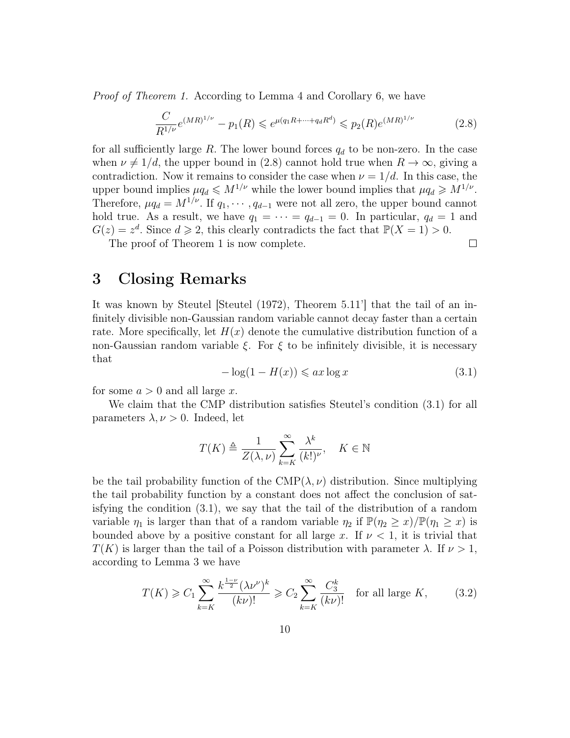Proof of Theorem 1. According to Lemma 4 and Corollary 6, we have

$$
\frac{C}{R^{1/\nu}}e^{(MR)^{1/\nu}} - p_1(R) \leqslant e^{\mu(q_1R + \dots + q_dR^d)} \leqslant p_2(R)e^{(MR)^{1/\nu}}\tag{2.8}
$$

for all sufficiently large R. The lower bound forces  $q_d$  to be non-zero. In the case when  $\nu \neq 1/d$ , the upper bound in (2.8) cannot hold true when  $R \to \infty$ , giving a contradiction. Now it remains to consider the case when  $\nu = 1/d$ . In this case, the upper bound implies  $\mu q_d \leqslant M^{1/\nu}$  while the lower bound implies that  $\mu q_d \geqslant M^{1/\nu}$ . Therefore,  $\mu q_d = M^{1/\nu}$ . If  $q_1, \cdots, q_{d-1}$  were not all zero, the upper bound cannot hold true. As a result, we have  $q_1 = \cdots = q_{d-1} = 0$ . In particular,  $q_d = 1$  and  $G(z) = z<sup>d</sup>$ . Since  $d \ge 2$ , this clearly contradicts the fact that  $\mathbb{P}(X = 1) > 0$ .

The proof of Theorem 1 is now complete.

### $\Box$

### 3 Closing Remarks

It was known by Steutel [Steutel (1972), Theorem 5.11'] that the tail of an infinitely divisible non-Gaussian random variable cannot decay faster than a certain rate. More specifically, let  $H(x)$  denote the cumulative distribution function of a non-Gaussian random variable  $\xi$ . For  $\xi$  to be infinitely divisible, it is necessary that

$$
-\log(1 - H(x)) \leqslant ax \log x \tag{3.1}
$$

for some  $a > 0$  and all large x.

We claim that the CMP distribution satisfies Steutel's condition (3.1) for all parameters  $\lambda, \nu > 0$ . Indeed, let

$$
T(K) \triangleq \frac{1}{Z(\lambda, \nu)} \sum_{k=K}^{\infty} \frac{\lambda^k}{(k!)^{\nu}}, \quad K \in \mathbb{N}
$$

be the tail probability function of the  $\text{CMP}(\lambda, \nu)$  distribution. Since multiplying the tail probability function by a constant does not affect the conclusion of satisfying the condition (3.1), we say that the tail of the distribution of a random variable  $\eta_1$  is larger than that of a random variable  $\eta_2$  if  $\mathbb{P}(\eta_2 \geq x)/\mathbb{P}(\eta_1 \geq x)$  is bounded above by a positive constant for all large x. If  $\nu < 1$ , it is trivial that  $T(K)$  is larger than the tail of a Poisson distribution with parameter  $\lambda$ . If  $\nu > 1$ , according to Lemma 3 we have

$$
T(K) \geqslant C_1 \sum_{k=K}^{\infty} \frac{k^{\frac{1-\nu}{2}} (\lambda \nu^{\nu})^k}{(k\nu)!} \geqslant C_2 \sum_{k=K}^{\infty} \frac{C_3^k}{(k\nu)!} \quad \text{for all large } K,\tag{3.2}
$$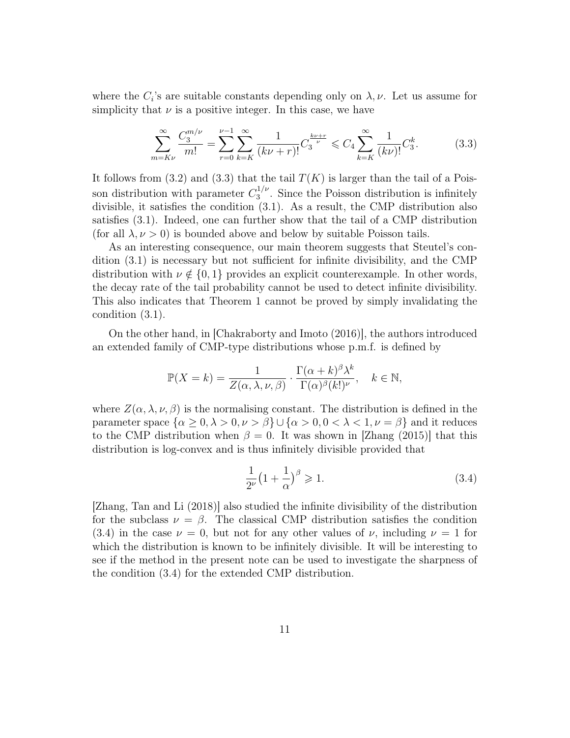where the  $C_i$ 's are suitable constants depending only on  $\lambda, \nu$ . Let us assume for simplicity that  $\nu$  is a positive integer. In this case, we have

$$
\sum_{m=K\nu}^{\infty} \frac{C_3^{m/\nu}}{m!} = \sum_{r=0}^{\nu-1} \sum_{k=K}^{\infty} \frac{1}{(k\nu+r)!} C_3^{\frac{k\nu+r}{\nu}} \leq C_4 \sum_{k=K}^{\infty} \frac{1}{(k\nu)!} C_3^k.
$$
 (3.3)

It follows from (3.2) and (3.3) that the tail  $T(K)$  is larger than the tail of a Poisson distribution with parameter  $C_3^{1/\nu}$  $3^{1/\nu}$ . Since the Poisson distribution is infinitely divisible, it satisfies the condition (3.1). As a result, the CMP distribution also satisfies (3.1). Indeed, one can further show that the tail of a CMP distribution (for all  $\lambda, \nu > 0$ ) is bounded above and below by suitable Poisson tails.

As an interesting consequence, our main theorem suggests that Steutel's condition (3.1) is necessary but not sufficient for infinite divisibility, and the CMP distribution with  $\nu \notin \{0, 1\}$  provides an explicit counterexample. In other words, the decay rate of the tail probability cannot be used to detect infinite divisibility. This also indicates that Theorem 1 cannot be proved by simply invalidating the condition (3.1).

On the other hand, in [Chakraborty and Imoto (2016)], the authors introduced an extended family of CMP-type distributions whose p.m.f. is defined by

$$
\mathbb{P}(X = k) = \frac{1}{Z(\alpha, \lambda, \nu, \beta)} \cdot \frac{\Gamma(\alpha + k)^{\beta} \lambda^k}{\Gamma(\alpha)^{\beta} (k!)^{\nu}}, \quad k \in \mathbb{N},
$$

where  $Z(\alpha, \lambda, \nu, \beta)$  is the normalising constant. The distribution is defined in the parameter space  $\{\alpha \geq 0, \lambda > 0, \nu > \beta\} \cup \{\alpha > 0, 0 < \lambda < 1, \nu = \beta\}$  and it reduces to the CMP distribution when  $\beta = 0$ . It was shown in [Zhang (2015)] that this distribution is log-convex and is thus infinitely divisible provided that

$$
\frac{1}{2^{\nu}}\left(1+\frac{1}{\alpha}\right)^{\beta} \geqslant 1. \tag{3.4}
$$

[Zhang, Tan and Li (2018)] also studied the infinite divisibility of the distribution for the subclass  $\nu = \beta$ . The classical CMP distribution satisfies the condition (3.4) in the case  $\nu = 0$ , but not for any other values of  $\nu$ , including  $\nu = 1$  for which the distribution is known to be infinitely divisible. It will be interesting to see if the method in the present note can be used to investigate the sharpness of the condition (3.4) for the extended CMP distribution.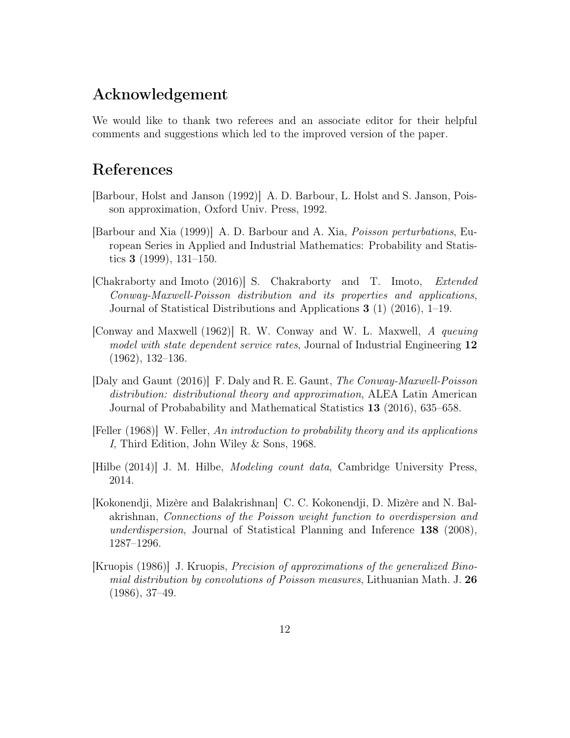# Acknowledgement

We would like to thank two referees and an associate editor for their helpful comments and suggestions which led to the improved version of the paper.

# References

- [Barbour, Holst and Janson (1992)] A. D. Barbour, L. Holst and S. Janson, Poisson approximation, Oxford Univ. Press, 1992.
- [Barbour and Xia (1999)] A. D. Barbour and A. Xia, Poisson perturbations, European Series in Applied and Industrial Mathematics: Probability and Statistics 3 (1999), 131–150.
- [Chakraborty and Imoto (2016)] S. Chakraborty and T. Imoto, Extended Conway-Maxwell-Poisson distribution and its properties and applications, Journal of Statistical Distributions and Applications 3 (1) (2016), 1–19.
- [Conway and Maxwell (1962)] R. W. Conway and W. L. Maxwell, A queuing model with state dependent service rates, Journal of Industrial Engineering 12 (1962), 132–136.
- [Daly and Gaunt (2016)] F. Daly and R. E. Gaunt, The Conway-Maxwell-Poisson distribution: distributional theory and approximation, ALEA Latin American Journal of Probabability and Mathematical Statistics 13 (2016), 635–658.
- [Feller (1968)] W. Feller, An introduction to probability theory and its applications I, Third Edition, John Wiley & Sons, 1968.
- [Hilbe (2014)] J. M. Hilbe, Modeling count data, Cambridge University Press, 2014.
- [Kokonendji, Mizère and Balakrishnan] C. C. Kokonendji, D. Mizère and N. Balakrishnan, Connections of the Poisson weight function to overdispersion and underdispersion, Journal of Statistical Planning and Inference 138 (2008), 1287–1296.
- [Kruopis (1986)] J. Kruopis, Precision of approximations of the generalized Binomial distribution by convolutions of Poisson measures, Lithuanian Math. J. 26 (1986), 37–49.